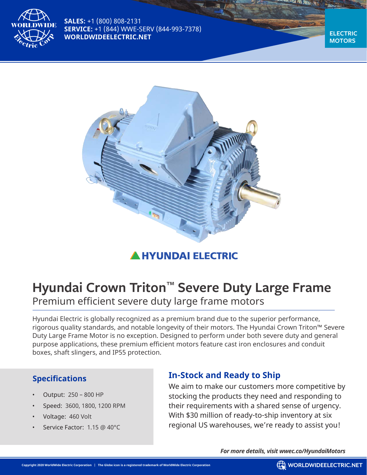

**SALES:** +1 (800) 808-2131 **SERVICE:** +1 (844) WWE-SERV (844-993-7378) **WORLDWIDEELECTRIC.NET**

**ELECTRIC MOTORS**



# **A HYUNDAI ELECTRIC**

# **Hyundai Crown Triton™ Severe Duty Large Frame** Premium efficient severe duty large frame motors

Hyundai Electric is globally recognized as a premium brand due to the superior performance, rigorous quality standards, and notable longevity of their motors. The Hyundai Crown Triton™ Severe Duty Large Frame Motor is no exception. Designed to perform under both severe duty and general purpose applications, these premium efficient motors feature cast iron enclosures and conduit boxes, shaft slingers, and IP55 protection.

#### **Specifications**

- Output: 250 800 HP
- Speed: 3600, 1800, 1200 RPM
- Voltage: 460 Volt
- Service Factor: 1.15 @ 40°C

# **In-Stock and Ready to Ship**

We aim to make our customers more competitive by stocking the products they need and responding to their requirements with a shared sense of urgency. With \$30 million of ready-to-ship inventory at six regional US warehouses, we're ready to assist you!

*For more details, visit wwec.co/HyundaiMotors*